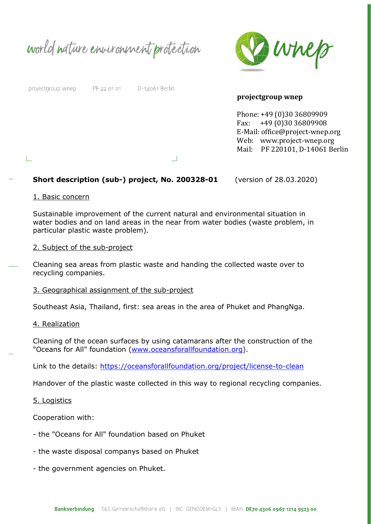world nature environment protection



#### projectgroup wnep

 $\mathbb{L}$ 

PF 22 01 01 D-14061 Berlin

### projectgroup wnep

Phone: +49 (0)30 36809909 Fax: +49 (0)30 36809908 E-Mail: office@project-wnep.org Web: www.project-wnep.org Mail: PF 220101, D-14061 Berlin

## Short description (sub-) project, No. 200328-01 (version of 28.03.2020)

#### 1. Basic concern

Sustainable improvement of the current natural and environmental situation in water bodies and on land areas in the near from water bodies (waste problem, in particular plastic waste problem).

 $\Box$ 

## 2. Subject of the sub-project

Cleaning sea areas from plastic waste and handing the collected waste over to recycling companies.

#### 3. Geographical assignment of the sub-project

Southeast Asia, Thailand, first: sea areas in the area of Phuket and PhangNga.

#### 4. Realization

Cleaning of the ocean surfaces by using catamarans after the construction of the "Oceans for All" foundation (www.oceansforallfoundation.org).

Link to the details: https://oceansforallfoundation.org/project/license-to-clean

Handover of the plastic waste collected in this way to regional recycling companies.

## 5. Logistics

Cooperation with:

- the "Oceans for All" foundation based on Phuket
- the waste disposal companys based on Phuket
- the government agencies on Phuket.